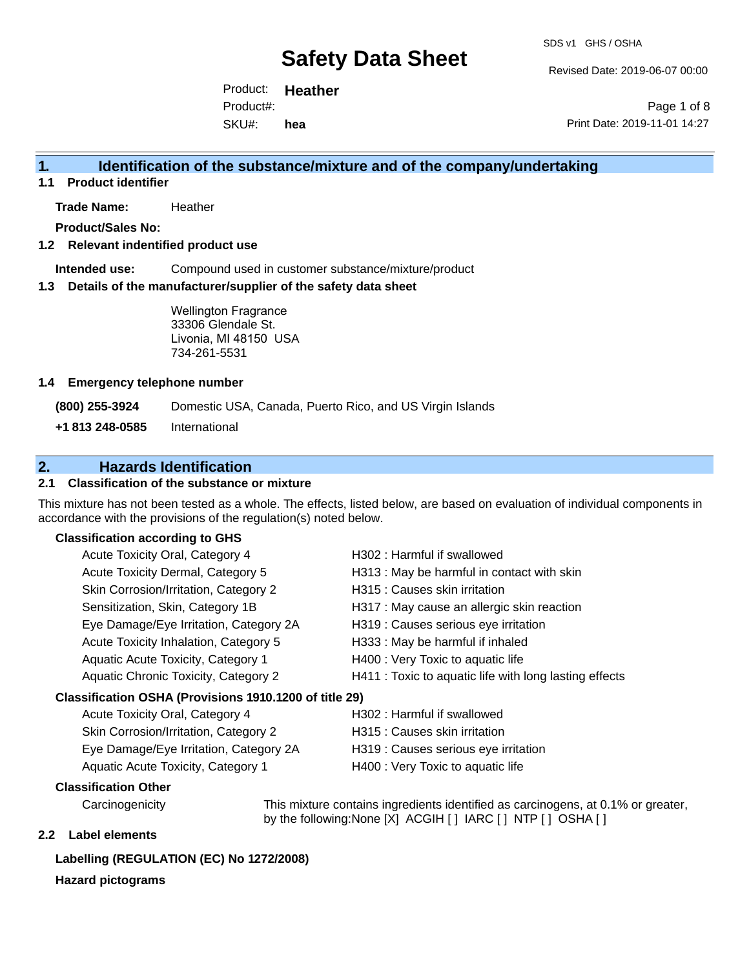Revised Date: 2019-06-07 00:00

Product: **Heather** SKU#: Product#: **hea**

Page 1 of 8 Print Date: 2019-11-01 14:27

### **1. Identification of the substance/mixture and of the company/undertaking**

**1.1 Product identifier**

**Trade Name:** Heather

**Product/Sales No:**

#### **1.2 Relevant indentified product use**

**Intended use:** Compound used in customer substance/mixture/product

#### **1.3 Details of the manufacturer/supplier of the safety data sheet**

Wellington Fragrance 33306 Glendale St. Livonia, MI 48150 USA 734-261-5531

#### **1.4 Emergency telephone number**

**(800) 255-3924** Domestic USA, Canada, Puerto Rico, and US Virgin Islands

**+1 813 248-0585** International

## **2. Hazards Identification**

#### **2.1 Classification of the substance or mixture**

This mixture has not been tested as a whole. The effects, listed below, are based on evaluation of individual components in accordance with the provisions of the regulation(s) noted below.

#### **Classification according to GHS**

| Acute Toxicity Oral, Category 4                        | H302: Harmful if swallowed                             |
|--------------------------------------------------------|--------------------------------------------------------|
| Acute Toxicity Dermal, Category 5                      | H313 : May be harmful in contact with skin             |
| Skin Corrosion/Irritation, Category 2                  | H315 : Causes skin irritation                          |
| Sensitization, Skin, Category 1B                       | H317 : May cause an allergic skin reaction             |
| Eye Damage/Eye Irritation, Category 2A                 | H319 : Causes serious eye irritation                   |
| Acute Toxicity Inhalation, Category 5                  | H333: May be harmful if inhaled                        |
| Aquatic Acute Toxicity, Category 1                     | H400 : Very Toxic to aquatic life                      |
| Aquatic Chronic Toxicity, Category 2                   | H411 : Toxic to aquatic life with long lasting effects |
| Classification OSHA (Provisions 1910.1200 of title 29) |                                                        |
| $\Lambda$ auto $\mathsf{T}$ autoitu Qual Qataganu 4    | $11000 \cdot 11244$                                    |

# Acute Toxicity Oral, Category 4 **H302** : Harmful if swallowed

| Skin Corrosion/Irritation, Category 2  | H315 : Causes skin irritation        |
|----------------------------------------|--------------------------------------|
| Eye Damage/Eye Irritation, Category 2A | H319 : Causes serious eye irritation |
| Aquatic Acute Toxicity, Category 1     | H400 : Very Toxic to aquatic life    |

#### **Classification Other**

Carcinogenicity This mixture contains ingredients identified as carcinogens, at 0.1% or greater, by the following:None [X] ACGIH [ ] IARC [ ] NTP [ ] OSHA [ ]

#### **2.2 Label elements**

#### **Labelling (REGULATION (EC) No 1272/2008)**

#### **Hazard pictograms**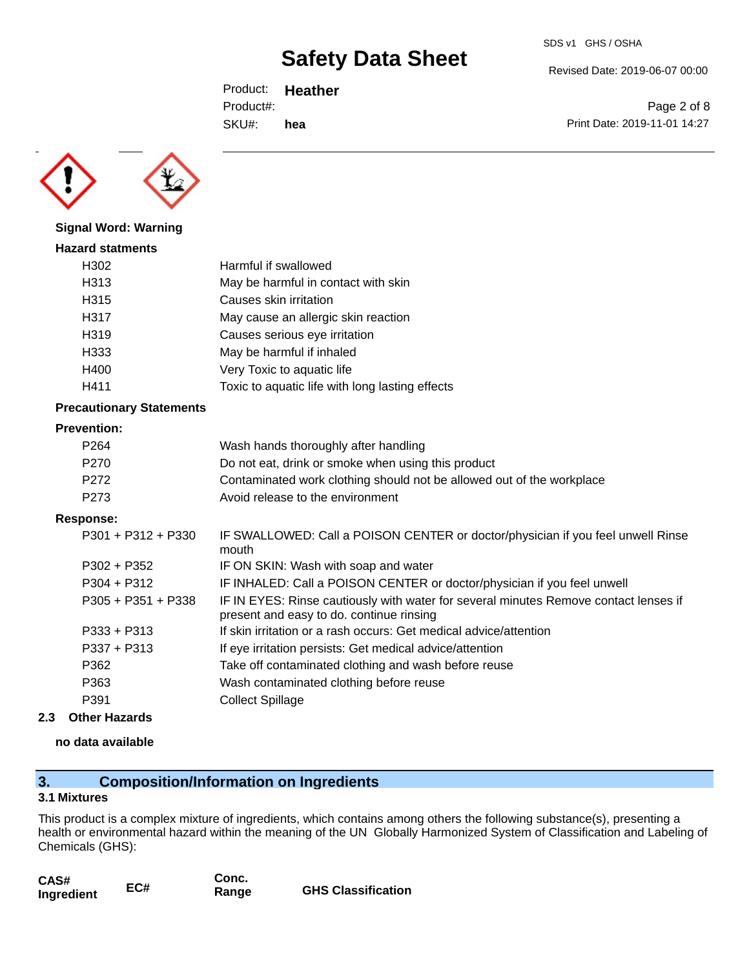Revised Date: 2019-06-07 00:00

Print Date: 2019-11-01 14:27

Page 2 of 8

Product: **Heather** SKU#: Product#: **hea**



**Signal Word: Warning**

# **Hazard statments** H302 Harmful if swallowed H313 May be harmful in contact with skin H315 Causes skin irritation H317 May cause an allergic skin reaction H319 Causes serious eye irritation H333 May be harmful if inhaled H400 Very Toxic to aquatic life H411 Toxic to aquatic life with long lasting effects

### **Precautionary Statements**

### **Prevention:**

| P <sub>264</sub> | Wash hands thoroughly after handling                                  |
|------------------|-----------------------------------------------------------------------|
| P270             | Do not eat, drink or smoke when using this product                    |
| P272             | Contaminated work clothing should not be allowed out of the workplace |
| P273             | Avoid release to the environment                                      |

### **Response:**

| $P301 + P312 + P330$ | IF SWALLOWED: Call a POISON CENTER or doctor/physician if you feel unwell Rinse<br>mouth                                         |
|----------------------|----------------------------------------------------------------------------------------------------------------------------------|
| $P302 + P352$        | IF ON SKIN: Wash with soap and water                                                                                             |
| $P304 + P312$        | IF INHALED: Call a POISON CENTER or doctor/physician if you feel unwell                                                          |
| $P305 + P351 + P338$ | IF IN EYES: Rinse cautiously with water for several minutes Remove contact lenses if<br>present and easy to do. continue rinsing |
| $P333 + P313$        | If skin irritation or a rash occurs: Get medical advice/attention                                                                |
| $P337 + P313$        | If eye irritation persists: Get medical advice/attention                                                                         |
| P362                 | Take off contaminated clothing and wash before reuse                                                                             |
| P363                 | Wash contaminated clothing before reuse                                                                                          |
| P391                 | <b>Collect Spillage</b>                                                                                                          |
|                      |                                                                                                                                  |

### **2.3 Other Hazards**

#### **no data available**

# **3. Composition/Information on Ingredients**

#### **3.1 Mixtures**

This product is a complex mixture of ingredients, which contains among others the following substance(s), presenting a health or environmental hazard within the meaning of the UN Globally Harmonized System of Classification and Labeling of Chemicals (GHS):

| CAS#<br>Ingredient | EC# | Conc.<br>Range | <b>GHS Classification</b> |
|--------------------|-----|----------------|---------------------------|
|                    |     |                |                           |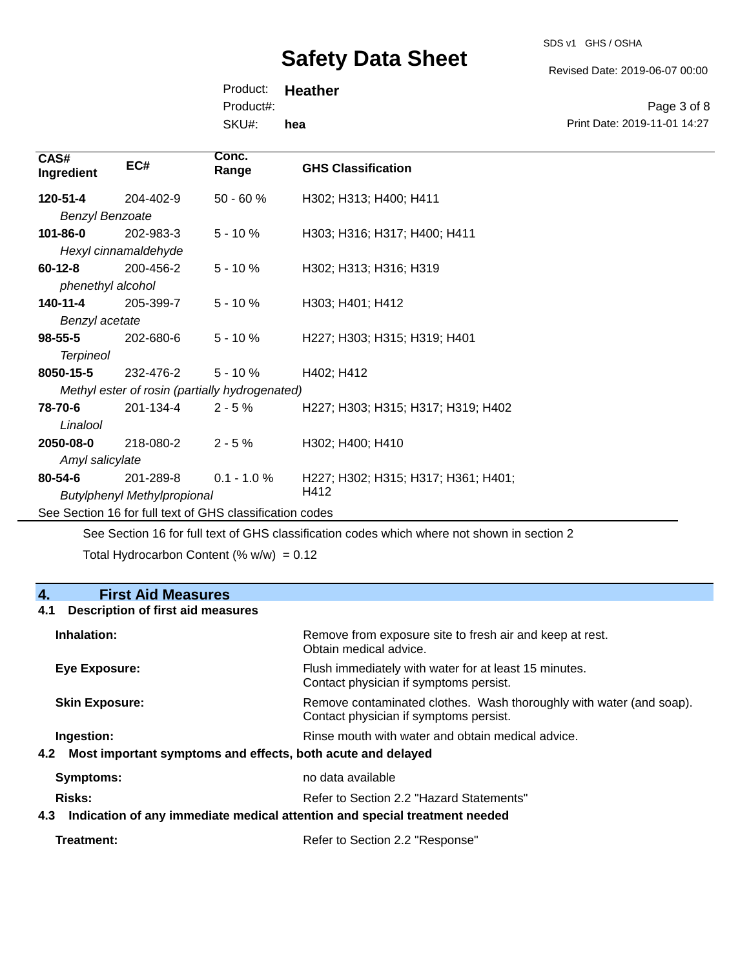SDS v1 GHS / OSHA

Revised Date: 2019-06-07 00:00

Print Date: 2019-11-01 14:27

Page 3 of 8

Product: **Heather** SKU#: Product#: **hea**

| CAS#<br>Ingredient     | EC#                  | Conc.<br>Range                                 | <b>GHS Classification</b>          |  |
|------------------------|----------------------|------------------------------------------------|------------------------------------|--|
| 120-51-4               | 204-402-9            | $50 - 60 \%$                                   | H302; H313; H400; H411             |  |
| <b>Benzyl Benzoate</b> |                      |                                                |                                    |  |
| 101-86-0               | 202-983-3            | $5 - 10 \%$                                    | H303; H316; H317; H400; H411       |  |
|                        | Hexyl cinnamaldehyde |                                                |                                    |  |
| $60 - 12 - 8$          | 200-456-2            | $5 - 10 \%$                                    | H302; H313; H316; H319             |  |
| phenethyl alcohol      |                      |                                                |                                    |  |
| 140-11-4               | 205-399-7            | $5 - 10 \%$                                    | H303; H401; H412                   |  |
| Benzyl acetate         |                      |                                                |                                    |  |
| $98 - 55 - 5$          | 202-680-6            | $5 - 10 \%$                                    | H227; H303; H315; H319; H401       |  |
| <b>Terpineol</b>       |                      |                                                |                                    |  |
| 8050-15-5              | 232-476-2            | $5 - 10 \%$                                    | H402; H412                         |  |
|                        |                      | Methyl ester of rosin (partially hydrogenated) |                                    |  |
| 78-70-6                | 201-134-4            | $2 - 5%$                                       | H227; H303; H315; H317; H319; H402 |  |
| Linalool               |                      |                                                |                                    |  |
| 2050-08-0              | 218-080-2            | $2 - 5%$                                       | H302; H400; H410                   |  |
| Amyl salicylate        |                      |                                                |                                    |  |

201-289-8 *Butylphenyl Methylpropional* 0.1 - 1.0 % H227; H302; H315; H317; H361; H401; H412 **80-54-6**

See Section 16 for full text of GHS classification codes

See Section 16 for full text of GHS classification codes which where not shown in section 2

Total Hydrocarbon Content (%  $w/w$ ) = 0.12

### **4. First Aid Measures**

#### **4.1 Description of first aid measures**

| Inhalation:                                                                                 | Remove from exposure site to fresh air and keep at rest.<br>Obtain medical advice.                            |
|---------------------------------------------------------------------------------------------|---------------------------------------------------------------------------------------------------------------|
| Eye Exposure:                                                                               | Flush immediately with water for at least 15 minutes.<br>Contact physician if symptoms persist.               |
| <b>Skin Exposure:</b>                                                                       | Remove contaminated clothes. Wash thoroughly with water (and soap).<br>Contact physician if symptoms persist. |
| Ingestion:<br>4.2 Most important symptoms and effects, both acute and delayed               | Rinse mouth with water and obtain medical advice.                                                             |
| <b>Symptoms:</b>                                                                            | no data available                                                                                             |
| Risks:<br>Indication of any immediate medical attention and special treatment needed<br>4.3 | Refer to Section 2.2 "Hazard Statements"                                                                      |
|                                                                                             |                                                                                                               |

| Refer to Section 2.2 "Response" |  |
|---------------------------------|--|
|                                 |  |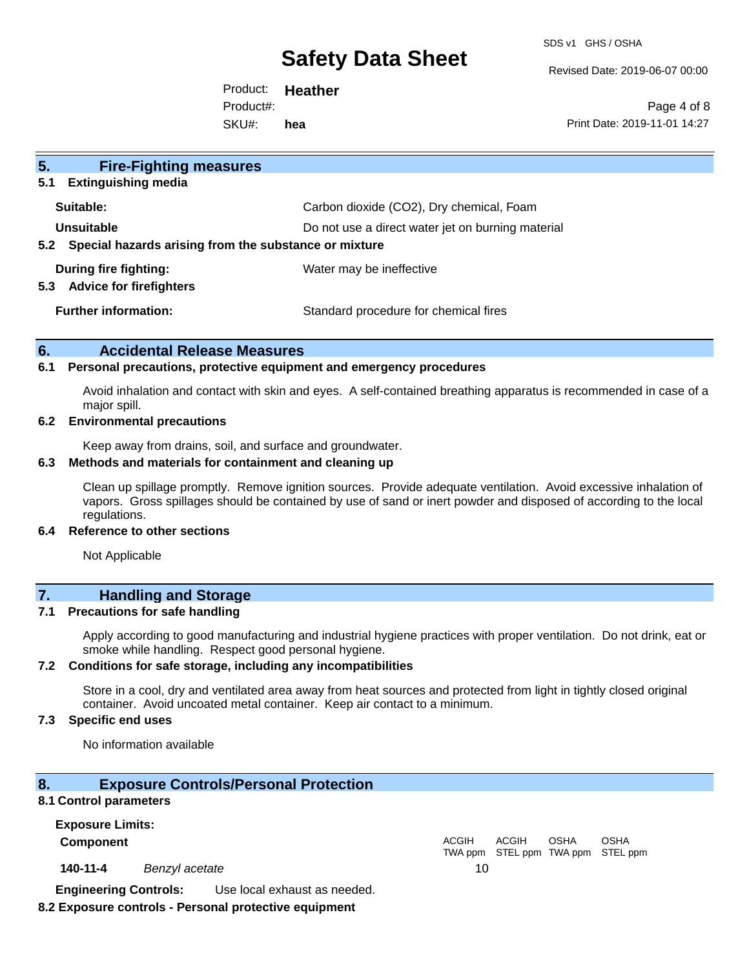SDS v1 GHS / OSHA

Revised Date: 2019-06-07 00:00

Product: **Heather** SKU#: Product#: **hea**

Page 4 of 8 Print Date: 2019-11-01 14:27

| 5.<br><b>Fire-Fighting measures</b>                                    |                                                   |
|------------------------------------------------------------------------|---------------------------------------------------|
| <b>Extinguishing media</b><br>5.1                                      |                                                   |
| Suitable:                                                              | Carbon dioxide (CO2), Dry chemical, Foam          |
| Unsuitable                                                             | Do not use a direct water jet on burning material |
| Special hazards arising from the substance or mixture<br>$5.2^{\circ}$ |                                                   |
| During fire fighting:<br><b>Advice for firefighters</b><br>5.3         | Water may be ineffective                          |
| <b>Further information:</b>                                            | Standard procedure for chemical fires             |

#### **6. Accidental Release Measures**

#### **6.1 Personal precautions, protective equipment and emergency procedures**

Avoid inhalation and contact with skin and eyes. A self-contained breathing apparatus is recommended in case of a major spill.

#### **6.2 Environmental precautions**

Keep away from drains, soil, and surface and groundwater.

#### **6.3 Methods and materials for containment and cleaning up**

Clean up spillage promptly. Remove ignition sources. Provide adequate ventilation. Avoid excessive inhalation of vapors. Gross spillages should be contained by use of sand or inert powder and disposed of according to the local regulations.

#### **6.4 Reference to other sections**

Not Applicable

# **7. Handling and Storage**

#### **7.1 Precautions for safe handling**

Apply according to good manufacturing and industrial hygiene practices with proper ventilation. Do not drink, eat or smoke while handling. Respect good personal hygiene.

#### **7.2 Conditions for safe storage, including any incompatibilities**

Store in a cool, dry and ventilated area away from heat sources and protected from light in tightly closed original container. Avoid uncoated metal container. Keep air contact to a minimum.

#### **7.3 Specific end uses**

No information available

#### **8. Exposure Controls/Personal Protection**

#### **8.1 Control parameters**

**Exposure Limits: Component** ACGIH

**140-11-4** *Benzyl acetate* 10

TWA ppm STEL ppm TWA ppm STEL ppm

ACGIH

OSHA

OSHA

**Engineering Controls:** Use local exhaust as needed.

#### **8.2 Exposure controls - Personal protective equipment**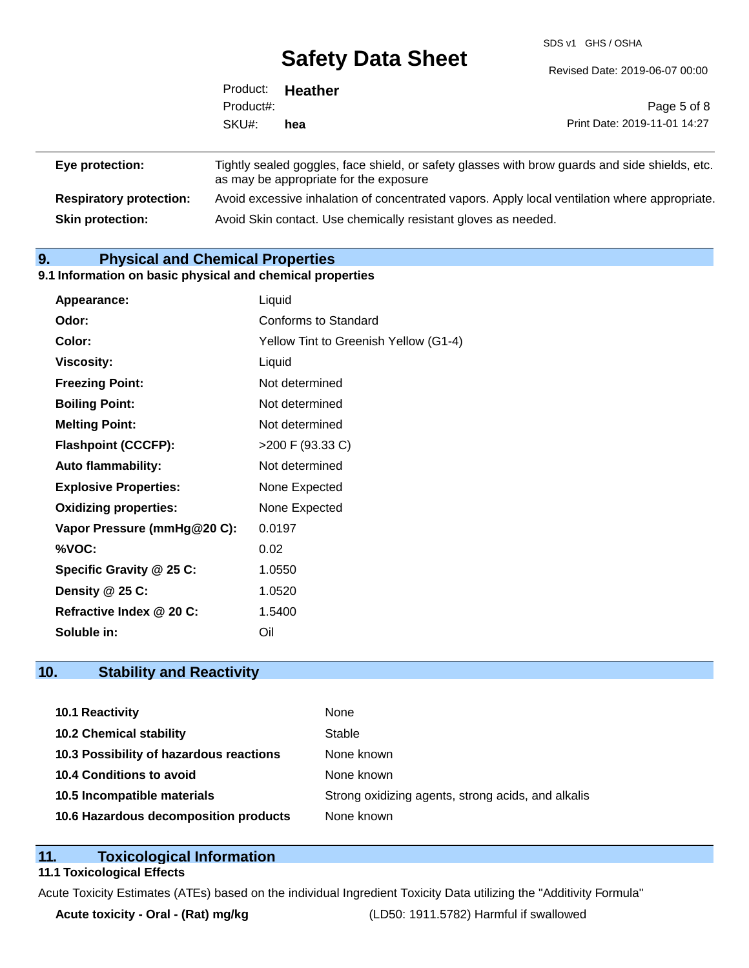SDS v1 GHS / OSHA

|                 |           | <u>Gaisty Data Oliopt</u>                                                                                                                | Revised Date: 2019-06-07 00:00 |
|-----------------|-----------|------------------------------------------------------------------------------------------------------------------------------------------|--------------------------------|
|                 | Product:  | Heather                                                                                                                                  |                                |
|                 | Product#: |                                                                                                                                          | Page 5 of 8                    |
|                 | SKU#:     | hea                                                                                                                                      | Print Date: 2019-11-01 14:27   |
| Eye protection: |           | Tightly sealed goggles, face shield, or safety glasses with brow guards and side shields, etc.<br>as may be annropriate for the exposure |                                |

|                                | as may be appropriate for the exposure.                                                       |
|--------------------------------|-----------------------------------------------------------------------------------------------|
| <b>Respiratory protection:</b> | Avoid excessive inhalation of concentrated vapors. Apply local ventilation where appropriate. |
| <b>Skin protection:</b>        | Avoid Skin contact. Use chemically resistant gloves as needed.                                |

### **9. Physical and Chemical Properties**

#### **9.1 Information on basic physical and chemical properties**

| Appearance:                  | Liquid                                |
|------------------------------|---------------------------------------|
| Odor:                        | <b>Conforms to Standard</b>           |
| Color:                       | Yellow Tint to Greenish Yellow (G1-4) |
| <b>Viscosity:</b>            | Liquid                                |
| <b>Freezing Point:</b>       | Not determined                        |
| <b>Boiling Point:</b>        | Not determined                        |
| <b>Melting Point:</b>        | Not determined                        |
| <b>Flashpoint (CCCFP):</b>   | >200 F (93.33 C)                      |
| <b>Auto flammability:</b>    | Not determined                        |
| <b>Explosive Properties:</b> | None Expected                         |
| <b>Oxidizing properties:</b> | None Expected                         |
| Vapor Pressure (mmHg@20 C):  | 0.0197                                |
| %VOC:                        | 0.02                                  |
| Specific Gravity @ 25 C:     | 1.0550                                |
| Density @ 25 C:              | 1.0520                                |
| Refractive Index @ 20 C:     | 1.5400                                |
| Soluble in:                  | Oil                                   |

# **10. Stability and Reactivity**

| <b>10.1 Reactivity</b>                  | None                                               |
|-----------------------------------------|----------------------------------------------------|
| <b>10.2 Chemical stability</b>          | Stable                                             |
| 10.3 Possibility of hazardous reactions | None known                                         |
| 10.4 Conditions to avoid                | None known                                         |
| 10.5 Incompatible materials             | Strong oxidizing agents, strong acids, and alkalis |
| 10.6 Hazardous decomposition products   | None known                                         |

## **11. Toxicological Information**

### **11.1 Toxicological Effects**

Acute Toxicity Estimates (ATEs) based on the individual Ingredient Toxicity Data utilizing the "Additivity Formula"

**Acute toxicity - Oral - (Rat) mg/kg** (LD50: 1911.5782) Harmful if swallowed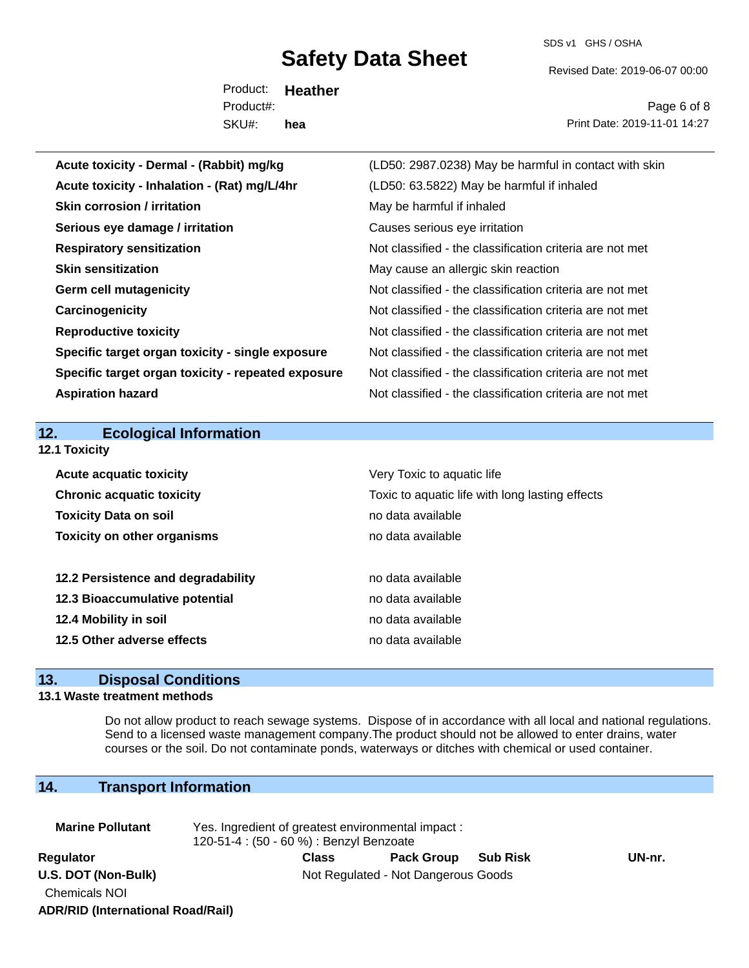SDS v1 GHS / OSHA

Revised Date: 2019-06-07 00:00

Product: **Heather** SKU#: Product#: **hea**

Page 6 of 8 Print Date: 2019-11-01 14:27

| Acute toxicity - Dermal - (Rabbit) mg/kg           | (LD50: 2987.0238) May be harmful in contact with skin    |
|----------------------------------------------------|----------------------------------------------------------|
| Acute toxicity - Inhalation - (Rat) mg/L/4hr       | (LD50: 63.5822) May be harmful if inhaled                |
| <b>Skin corrosion / irritation</b>                 | May be harmful if inhaled                                |
| Serious eye damage / irritation                    | Causes serious eye irritation                            |
| <b>Respiratory sensitization</b>                   | Not classified - the classification criteria are not met |
| <b>Skin sensitization</b>                          | May cause an allergic skin reaction                      |
| <b>Germ cell mutagenicity</b>                      | Not classified - the classification criteria are not met |
| Carcinogenicity                                    | Not classified - the classification criteria are not met |
| <b>Reproductive toxicity</b>                       | Not classified - the classification criteria are not met |
| Specific target organ toxicity - single exposure   | Not classified - the classification criteria are not met |
| Specific target organ toxicity - repeated exposure | Not classified - the classification criteria are not met |
| <b>Aspiration hazard</b>                           | Not classified - the classification criteria are not met |
|                                                    |                                                          |
|                                                    |                                                          |
| <b>Ecological Information</b><br>12.               |                                                          |
| 12.1 Toxicity                                      |                                                          |
| <b>Acute acquatic toxicity</b>                     | Very Toxic to aquatic life                               |
| <b>Chronic acquatic toxicity</b>                   | Toxic to aquatic life with long lasting effects          |
| <b>Toxicity Data on soil</b>                       | no data available                                        |
| <b>Toxicity on other organisms</b>                 | no data available                                        |
|                                                    |                                                          |
| 12.2 Persistence and degradability                 | no data available                                        |
| 12.3 Bioaccumulative potential                     | no data available                                        |
| 12.4 Mobility in soil                              | no data available                                        |
| 12.5 Other adverse effects                         | no data available                                        |

# **13. Disposal Conditions**

#### **13.1 Waste treatment methods**

Do not allow product to reach sewage systems. Dispose of in accordance with all local and national regulations. Send to a licensed waste management company.The product should not be allowed to enter drains, water courses or the soil. Do not contaminate ponds, waterways or ditches with chemical or used container.

# **14. Transport Information**

| <b>Marine Pollutant</b>                  | Yes. Ingredient of greatest environmental impact:<br>120-51-4 : (50 - 60 %) : Benzyl Benzoate |       |                   |                 |        |  |
|------------------------------------------|-----------------------------------------------------------------------------------------------|-------|-------------------|-----------------|--------|--|
| Regulator                                |                                                                                               | Class | <b>Pack Group</b> | <b>Sub Risk</b> | UN-nr. |  |
| U.S. DOT (Non-Bulk)                      | Not Regulated - Not Dangerous Goods                                                           |       |                   |                 |        |  |
| <b>Chemicals NOI</b>                     |                                                                                               |       |                   |                 |        |  |
| <b>ADR/RID (International Road/Rail)</b> |                                                                                               |       |                   |                 |        |  |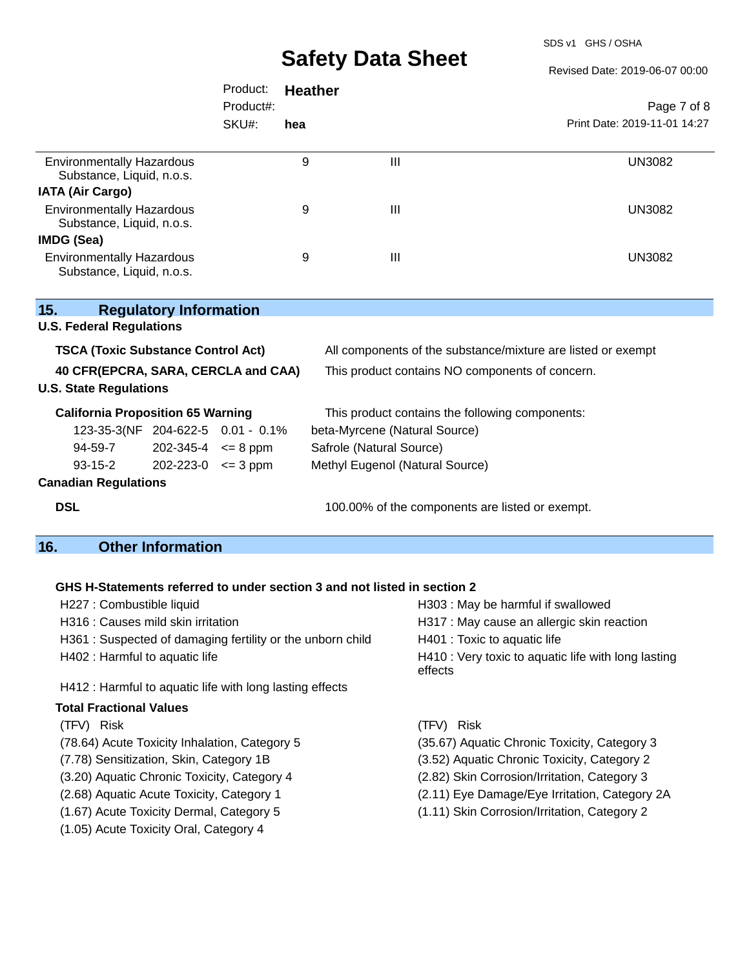SDS v1 GHS / OSHA

Revised Date: 2019-06-07 00:00

| Page 7 of 8                  |  |
|------------------------------|--|
| Print Date: 2019-11-01 14:27 |  |
| <b>UN3082</b>                |  |
|                              |  |
| <b>UN3082</b>                |  |
|                              |  |
| <b>UN3082</b>                |  |
|                              |  |

| 15.                                       | <b>Regulatory Information</b>      |                                   |                                                              |  |
|-------------------------------------------|------------------------------------|-----------------------------------|--------------------------------------------------------------|--|
| <b>U.S. Federal Regulations</b>           |                                    |                                   |                                                              |  |
| <b>TSCA (Toxic Substance Control Act)</b> |                                    |                                   | All components of the substance/mixture are listed or exempt |  |
| 40 CFR(EPCRA, SARA, CERCLA and CAA)       |                                    |                                   | This product contains NO components of concern.              |  |
| <b>U.S. State Regulations</b>             |                                    |                                   |                                                              |  |
| <b>California Proposition 65 Warning</b>  |                                    |                                   | This product contains the following components:              |  |
|                                           |                                    | 123-35-3(NF 204-622-5 0.01 - 0.1% | beta-Myrcene (Natural Source)                                |  |
| 94-59-7                                   | $202 - 345 - 4 \leq 8 \text{ ppm}$ |                                   | Safrole (Natural Source)                                     |  |
| $93 - 15 - 2$                             | $202 - 223 - 0 \leq 3$ ppm         |                                   | Methyl Eugenol (Natural Source)                              |  |
| <b>Canadian Regulations</b>               |                                    |                                   |                                                              |  |
| <b>DSL</b>                                |                                    |                                   | 100.00% of the components are listed or exempt.              |  |

# **16. Other Information**

### **GHS H-Statements referred to under section 3 and not listed in section 2**

| H227 : Combustible liquid                                 | H303: May be harmful if swallowed                              |
|-----------------------------------------------------------|----------------------------------------------------------------|
| H316 : Causes mild skin irritation                        | H317 : May cause an allergic skin reaction                     |
| H361: Suspected of damaging fertility or the unborn child | H401 : Toxic to aquatic life                                   |
| H402 : Harmful to aquatic life                            | H410 : Very toxic to aquatic life with long lasting<br>effects |
| H412 : Harmful to aquatic life with long lasting effects  |                                                                |
| <b>Total Fractional Values</b>                            |                                                                |
| (TFV) Risk                                                | (TFV) Risk                                                     |
| (78.64) Acute Toxicity Inhalation, Category 5             | (35.67) Aquatic Chronic Toxicity, Category 3                   |
| (7.78) Sensitization, Skin, Category 1B                   | (3.52) Aquatic Chronic Toxicity, Category 2                    |
| (3.20) Aquatic Chronic Toxicity, Category 4               | (2.82) Skin Corrosion/Irritation, Category 3                   |
| (2.68) Aquatic Acute Toxicity, Category 1                 | (2.11) Eye Damage/Eye Irritation, Category 2A                  |
| (1.67) Acute Toxicity Dermal, Category 5                  | (1.11) Skin Corrosion/Irritation, Category 2                   |

(1.05) Acute Toxicity Oral, Category 4